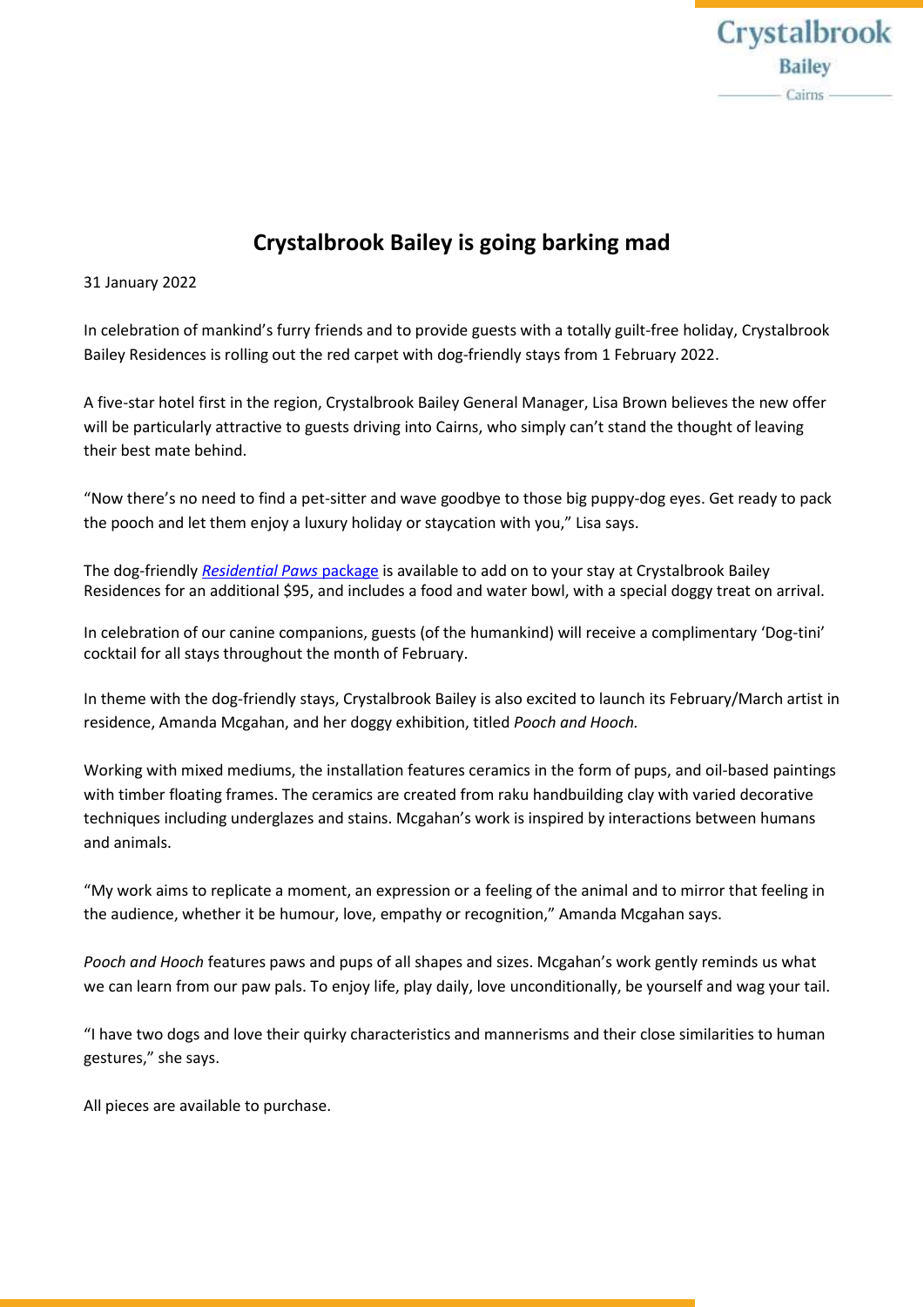

# **Crystalbrook Bailey is going barking mad**

## 31 January 2022

In celebration of mankind's furry friends and to provide guests with a totally guilt-free holiday, Crystalbrook Bailey Residences is rolling out the red carpet with dog-friendly stays from 1 February 2022.

A five-star hotel first in the region, Crystalbrook Bailey General Manager, Lisa Brown believes the new offer will be particularly attractive to guests driving into Cairns, who simply can't stand the thought of leaving their best mate behind.

"Now there's no need to find a pet-sitter and wave goodbye to those big puppy-dog eyes. Get ready to pack the pooch and let them enjoy a luxury holiday or staycation with you," Lisa says.

The dog-friendly *[Residential Paws](https://www.crystalbrookcollection.com/bailey/pet-friendly-accommodation-cairns)* package is available to add on to your stay at Crystalbrook Bailey Residences for an additional \$95, and includes a food and water bowl, with a special doggy treat on arrival.

In celebration of our canine companions, guests (of the humankind) will receive a complimentary 'Dog-tini' cocktail for all stays throughout the month of February.

In theme with the dog-friendly stays, Crystalbrook Bailey is also excited to launch its February/March artist in residence, Amanda Mcgahan, and her doggy exhibition, titled *Pooch and Hooch.*

Working with mixed mediums, the installation features ceramics in the form of pups, and oil-based paintings with timber floating frames. The ceramics are created from raku handbuilding clay with varied decorative techniques including underglazes and stains. Mcgahan's work is inspired by interactions between humans and animals.

"My work aims to replicate a moment, an expression or a feeling of the animal and to mirror that feeling in the audience, whether it be humour, love, empathy or recognition," Amanda Mcgahan says.

*Pooch and Hooch* features paws and pups of all shapes and sizes. Mcgahan's work gently reminds us what we can learn from our paw pals. To enjoy life, play daily, love unconditionally, be yourself and wag your tail.

"I have two dogs and love their quirky characteristics and mannerisms and their close similarities to human gestures," she says.

All pieces are available to purchase.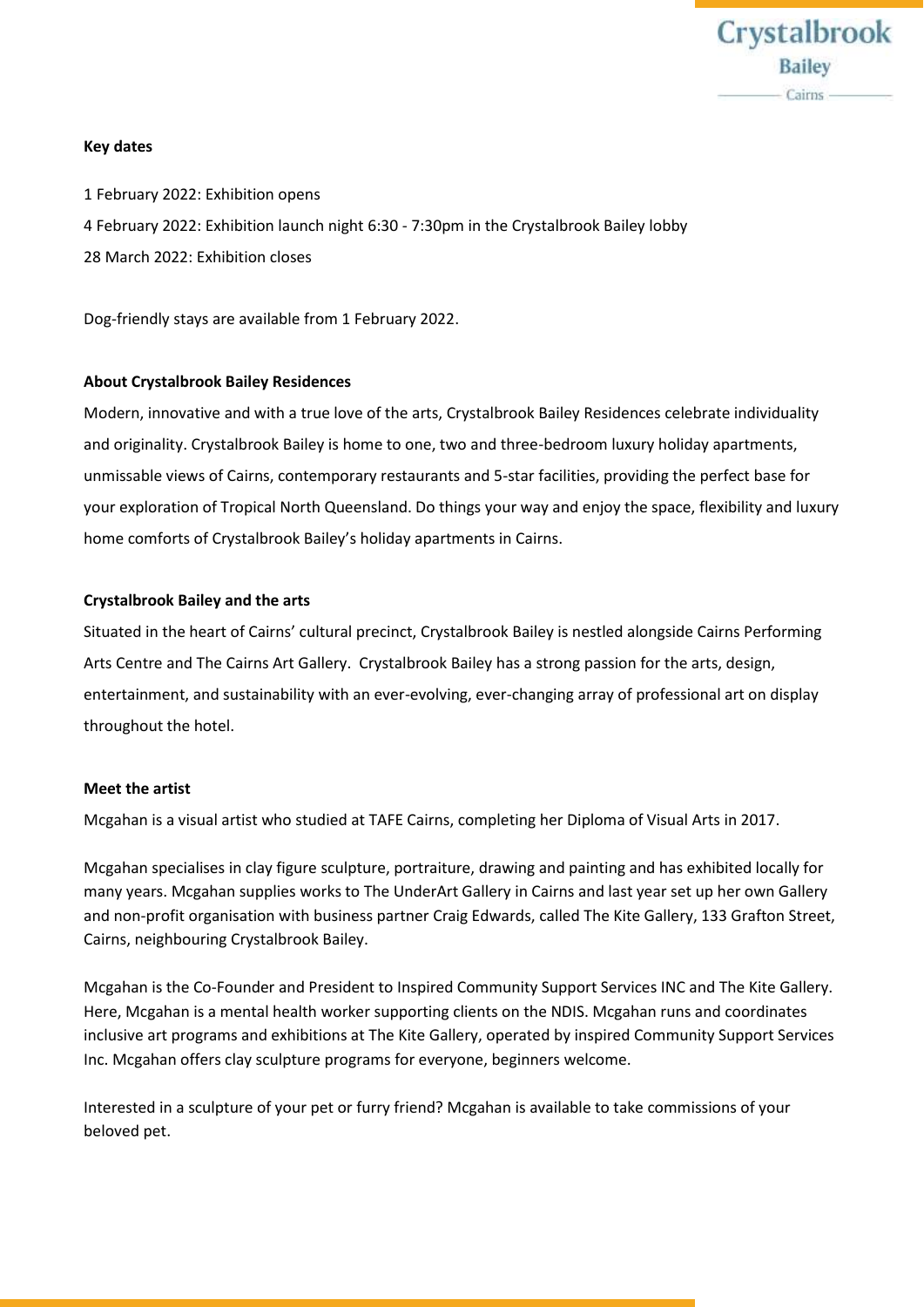

#### **Key dates**

1 February 2022: Exhibition opens 4 February 2022: Exhibition launch night 6:30 - 7:30pm in the Crystalbrook Bailey lobby 28 March 2022: Exhibition closes

Dog-friendly stays are available from 1 February 2022.

## **About Crystalbrook Bailey Residences**

Modern, innovative and with a true love of the arts, Crystalbrook Bailey Residences celebrate individuality and originality. Crystalbrook Bailey is home to one, two and three-bedroom luxury holiday apartments, unmissable views of Cairns, contemporary restaurants and 5-star facilities, providing the perfect base for your exploration of Tropical North Queensland. Do things your way and enjoy the space, flexibility and luxury home comforts of Crystalbrook Bailey's holiday apartments in Cairns.

## **Crystalbrook Bailey and the arts**

Situated in the heart of Cairns' cultural precinct, Crystalbrook Bailey is nestled alongside Cairns Performing Arts Centre and The Cairns Art Gallery. Crystalbrook Bailey has a strong passion for the arts, design, entertainment, and sustainability with an ever-evolving, ever-changing array of professional art on display throughout the hotel.

#### **Meet the artist**

Mcgahan is a visual artist who studied at TAFE Cairns, completing her Diploma of Visual Arts in 2017.

Mcgahan specialises in clay figure sculpture, portraiture, drawing and painting and has exhibited locally for many years. Mcgahan supplies works to The UnderArt Gallery in Cairns and last year set up her own Gallery and non-profit organisation with business partner Craig Edwards, called The Kite Gallery, 133 Grafton Street, Cairns, neighbouring Crystalbrook Bailey.

Mcgahan is the Co-Founder and President to Inspired Community Support Services INC and The Kite Gallery. Here, Mcgahan is a mental health worker supporting clients on the NDIS. Mcgahan runs and coordinates inclusive art programs and exhibitions at The Kite Gallery, operated by inspired Community Support Services Inc. Mcgahan offers clay sculpture programs for everyone, beginners welcome.

Interested in a sculpture of your pet or furry friend? Mcgahan is available to take commissions of your beloved pet.